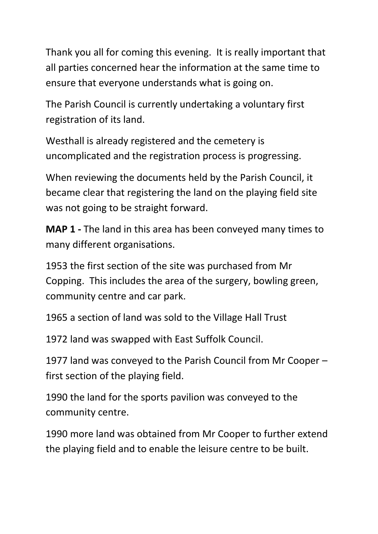Thank you all for coming this evening. It is really important that all parties concerned hear the information at the same time to ensure that everyone understands what is going on.

The Parish Council is currently undertaking a voluntary first registration of its land.

Westhall is already registered and the cemetery is uncomplicated and the registration process is progressing.

When reviewing the documents held by the Parish Council, it became clear that registering the land on the playing field site was not going to be straight forward.

**MAP 1 -** The land in this area has been conveyed many times to many different organisations.

1953 the first section of the site was purchased from Mr Copping. This includes the area of the surgery, bowling green, community centre and car park.

1965 a section of land was sold to the Village Hall Trust

1972 land was swapped with East Suffolk Council.

1977 land was conveyed to the Parish Council from Mr Cooper – first section of the playing field.

1990 the land for the sports pavilion was conveyed to the community centre.

1990 more land was obtained from Mr Cooper to further extend the playing field and to enable the leisure centre to be built.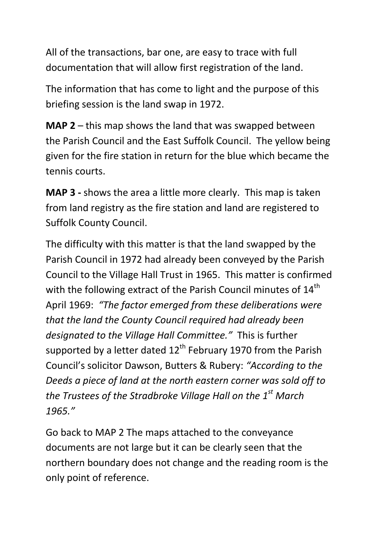All of the transactions, bar one, are easy to trace with full documentation that will allow first registration of the land.

The information that has come to light and the purpose of this briefing session is the land swap in 1972.

**MAP 2** – this map shows the land that was swapped between the Parish Council and the East Suffolk Council. The yellow being given for the fire station in return for the blue which became the tennis courts.

**MAP 3 -** shows the area a little more clearly. This map is taken from land registry as the fire station and land are registered to Suffolk County Council.

The difficulty with this matter is that the land swapped by the Parish Council in 1972 had already been conveyed by the Parish Council to the Village Hall Trust in 1965. This matter is confirmed with the following extract of the Parish Council minutes of 14<sup>th</sup> April 1969: *"The factor emerged from these deliberations were that the land the County Council required had already been designated to the Village Hall Committee."* This is further supported by a letter dated  $12^{th}$  February 1970 from the Parish Council's solicitor Dawson, Butters & Rubery: *"According to the Deeds a piece of land at the north eastern corner was sold off to the Trustees of the Stradbroke Village Hall on the 1st March 1965."*

Go back to MAP 2 The maps attached to the conveyance documents are not large but it can be clearly seen that the northern boundary does not change and the reading room is the only point of reference.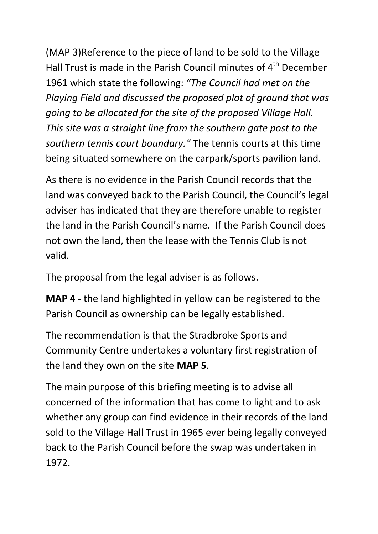(MAP 3)Reference to the piece of land to be sold to the Village Hall Trust is made in the Parish Council minutes of 4<sup>th</sup> December 1961 which state the following: *"The Council had met on the Playing Field and discussed the proposed plot of ground that was going to be allocated for the site of the proposed Village Hall. This site was a straight line from the southern gate post to the southern tennis court boundary."* The tennis courts at this time being situated somewhere on the carpark/sports pavilion land.

As there is no evidence in the Parish Council records that the land was conveyed back to the Parish Council, the Council's legal adviser has indicated that they are therefore unable to register the land in the Parish Council's name. If the Parish Council does not own the land, then the lease with the Tennis Club is not valid.

The proposal from the legal adviser is as follows.

**MAP 4 -** the land highlighted in yellow can be registered to the Parish Council as ownership can be legally established.

The recommendation is that the Stradbroke Sports and Community Centre undertakes a voluntary first registration of the land they own on the site **MAP 5**.

The main purpose of this briefing meeting is to advise all concerned of the information that has come to light and to ask whether any group can find evidence in their records of the land sold to the Village Hall Trust in 1965 ever being legally conveyed back to the Parish Council before the swap was undertaken in 1972.